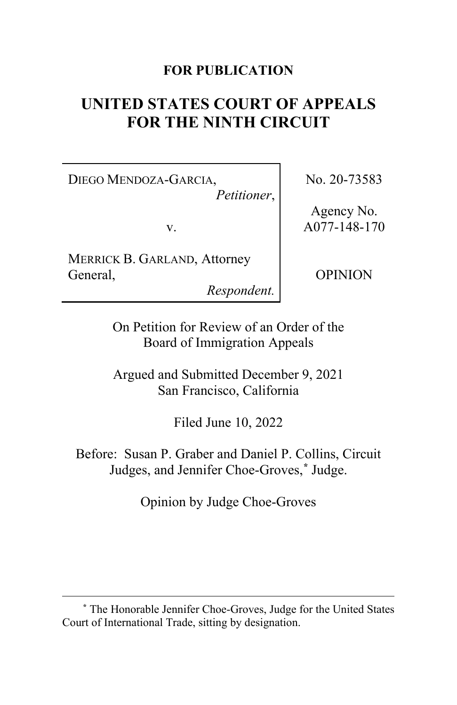# **FOR PUBLICATION**

# **UNITED STATES COURT OF APPEALS FOR THE NINTH CIRCUIT**

DIEGO MENDOZA-GARCIA, *Petitioner*,

v.

MERRICK B. GARLAND, Attorney General,

*Respondent.*

No. 20-73583

Agency No. A077-148-170

OPINION

On Petition for Review of an Order of the Board of Immigration Appeals

Argued and Submitted December 9, 2021 San Francisco, California

Filed June 10, 2022

Before: Susan P. Graber and Daniel P. Collins, Circuit Judges, and Jennifer Choe-Groves,**[\\*](#page-0-0)** Judge.

Opinion by Judge Choe-Groves

<span id="page-0-0"></span>**<sup>\*</sup>** The Honorable Jennifer Choe-Groves, Judge for the United States Court of International Trade, sitting by designation.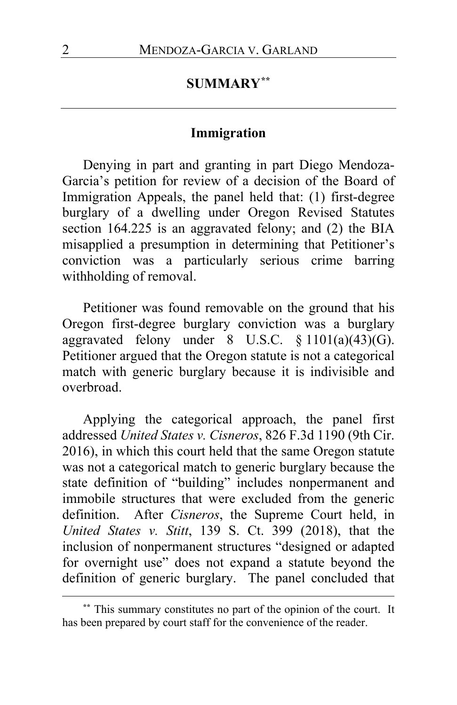# **SUMMARY[\\*\\*](#page-1-0)**

## **Immigration**

Denying in part and granting in part Diego Mendoza-Garcia's petition for review of a decision of the Board of Immigration Appeals, the panel held that: (1) first-degree burglary of a dwelling under Oregon Revised Statutes section 164.225 is an aggravated felony; and (2) the BIA misapplied a presumption in determining that Petitioner's conviction was a particularly serious crime barring withholding of removal.

Petitioner was found removable on the ground that his Oregon first-degree burglary conviction was a burglary aggravated felony under  $8 \text{ U.S.C. } \frac{1101(a)(43)(G)}{26}$ . Petitioner argued that the Oregon statute is not a categorical match with generic burglary because it is indivisible and overbroad.

Applying the categorical approach, the panel first addressed *United States v. Cisneros*, 826 F.3d 1190 (9th Cir. 2016), in which this court held that the same Oregon statute was not a categorical match to generic burglary because the state definition of "building" includes nonpermanent and immobile structures that were excluded from the generic definition. After *Cisneros*, the Supreme Court held, in *United States v. Stitt*, 139 S. Ct. 399 (2018), that the inclusion of nonpermanent structures "designed or adapted for overnight use" does not expand a statute beyond the definition of generic burglary. The panel concluded that

<span id="page-1-0"></span>**<sup>\*\*</sup>** This summary constitutes no part of the opinion of the court. It has been prepared by court staff for the convenience of the reader.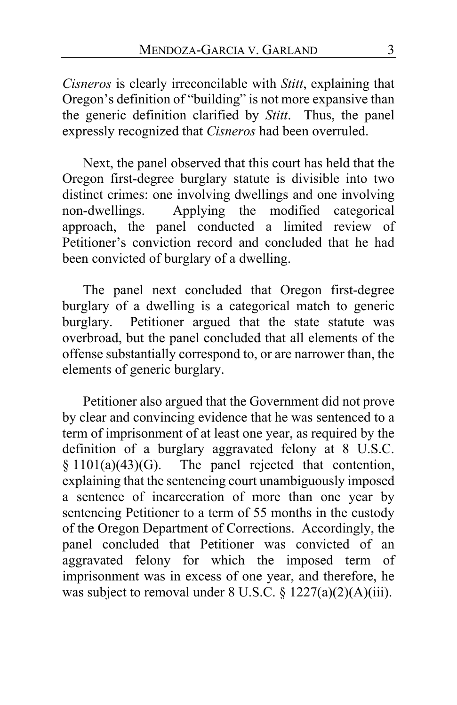*Cisneros* is clearly irreconcilable with *Stitt*, explaining that Oregon's definition of "building" is not more expansive than the generic definition clarified by *Stitt*. Thus, the panel expressly recognized that *Cisneros* had been overruled.

Next, the panel observed that this court has held that the Oregon first-degree burglary statute is divisible into two distinct crimes: one involving dwellings and one involving<br>non-dwellings. Applying the modified categorical Applying the modified categorical approach, the panel conducted a limited review of Petitioner's conviction record and concluded that he had been convicted of burglary of a dwelling.

The panel next concluded that Oregon first-degree burglary of a dwelling is a categorical match to generic burglary. Petitioner argued that the state statute was overbroad, but the panel concluded that all elements of the offense substantially correspond to, or are narrower than, the elements of generic burglary.

Petitioner also argued that the Government did not prove by clear and convincing evidence that he was sentenced to a term of imprisonment of at least one year, as required by the definition of a burglary aggravated felony at 8 U.S.C.  $§ 1101(a)(43)(G)$ . The panel rejected that contention, explaining that the sentencing court unambiguously imposed a sentence of incarceration of more than one year by sentencing Petitioner to a term of 55 months in the custody of the Oregon Department of Corrections. Accordingly, the panel concluded that Petitioner was convicted of an aggravated felony for which the imposed term of imprisonment was in excess of one year, and therefore, he was subject to removal under 8 U.S.C. § 1227(a)(2)(A)(iii).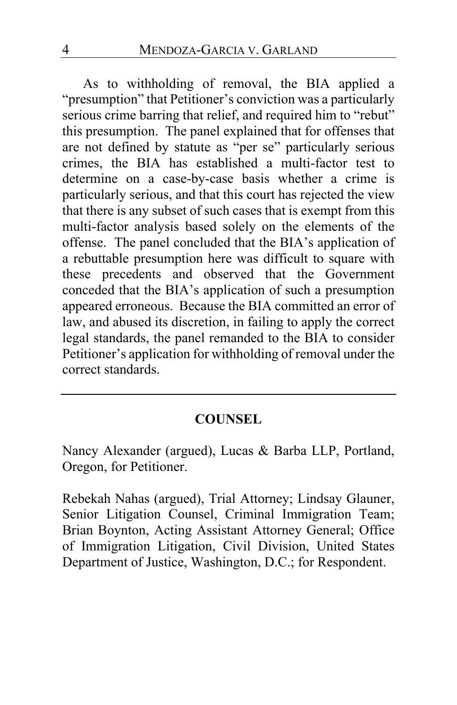As to withholding of removal, the BIA applied a "presumption" that Petitioner's conviction was a particularly serious crime barring that relief, and required him to "rebut" this presumption. The panel explained that for offenses that are not defined by statute as "per se" particularly serious crimes, the BIA has established a multi-factor test to determine on a case-by-case basis whether a crime is particularly serious, and that this court has rejected the view that there is any subset of such cases that is exempt from this multi-factor analysis based solely on the elements of the offense. The panel concluded that the BIA's application of a rebuttable presumption here was difficult to square with these precedents and observed that the Government conceded that the BIA's application of such a presumption appeared erroneous. Because the BIA committed an error of law, and abused its discretion, in failing to apply the correct legal standards, the panel remanded to the BIA to consider Petitioner's application for withholding of removal under the correct standards.

# **COUNSEL**

Nancy Alexander (argued), Lucas & Barba LLP, Portland, Oregon, for Petitioner.

Rebekah Nahas (argued), Trial Attorney; Lindsay Glauner, Senior Litigation Counsel, Criminal Immigration Team; Brian Boynton, Acting Assistant Attorney General; Office of Immigration Litigation, Civil Division, United States Department of Justice, Washington, D.C.; for Respondent.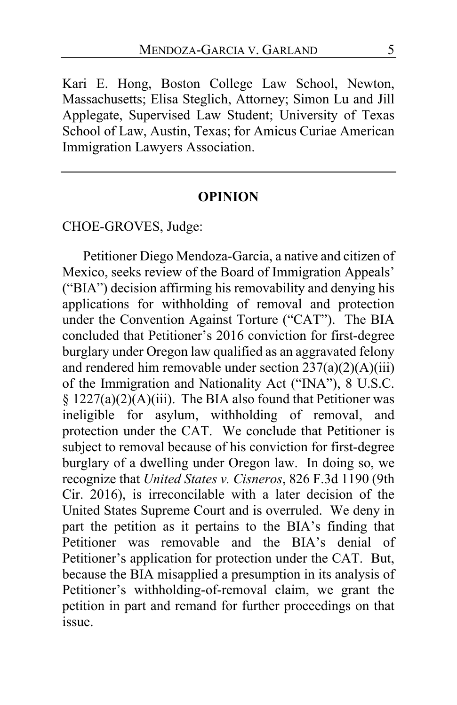Kari E. Hong, Boston College Law School, Newton, Massachusetts; Elisa Steglich, Attorney; Simon Lu and Jill Applegate, Supervised Law Student; University of Texas School of Law, Austin, Texas; for Amicus Curiae American Immigration Lawyers Association.

#### **OPINION**

# CHOE-GROVES, Judge:

Petitioner Diego Mendoza-Garcia, a native and citizen of Mexico, seeks review of the Board of Immigration Appeals' ("BIA") decision affirming his removability and denying his applications for withholding of removal and protection under the Convention Against Torture ("CAT"). The BIA concluded that Petitioner's 2016 conviction for first-degree burglary under Oregon law qualified as an aggravated felony and rendered him removable under section  $237(a)(2)(A)(iii)$ of the Immigration and Nationality Act ("INA"), 8 U.S.C.  $§ 1227(a)(2)(A)(iii)$ . The BIA also found that Petitioner was ineligible for asylum, withholding of removal, and protection under the CAT. We conclude that Petitioner is subject to removal because of his conviction for first-degree burglary of a dwelling under Oregon law. In doing so, we recognize that *United States v. Cisneros*, 826 F.3d 1190 (9th Cir. 2016), is irreconcilable with a later decision of the United States Supreme Court and is overruled. We deny in part the petition as it pertains to the BIA's finding that Petitioner was removable and the BIA's denial of Petitioner's application for protection under the CAT. But, because the BIA misapplied a presumption in its analysis of Petitioner's withholding-of-removal claim, we grant the petition in part and remand for further proceedings on that issue.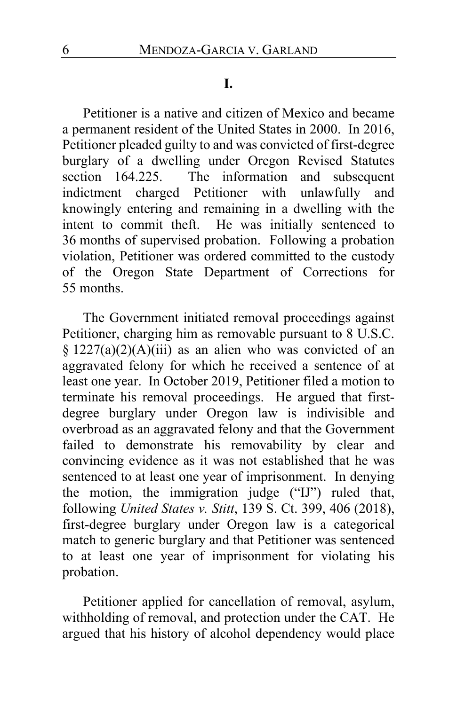#### **I.**

Petitioner is a native and citizen of Mexico and became a permanent resident of the United States in 2000. In 2016, Petitioner pleaded guilty to and was convicted of first-degree burglary of a dwelling under Oregon Revised Statutes section 164.225. The information and subsequent indictment charged Petitioner with unlawfully and knowingly entering and remaining in a dwelling with the intent to commit theft. He was initially sentenced to 36 months of supervised probation. Following a probation violation, Petitioner was ordered committed to the custody of the Oregon State Department of Corrections for 55 months.

The Government initiated removal proceedings against Petitioner, charging him as removable pursuant to 8 U.S.C. §  $1227(a)(2)(A)(iii)$  as an alien who was convicted of an aggravated felony for which he received a sentence of at least one year. In October 2019, Petitioner filed a motion to terminate his removal proceedings. He argued that firstdegree burglary under Oregon law is indivisible and overbroad as an aggravated felony and that the Government failed to demonstrate his removability by clear and convincing evidence as it was not established that he was sentenced to at least one year of imprisonment. In denying the motion, the immigration judge ("IJ") ruled that, following *United States v. Stitt*, 139 S. Ct. 399, 406 (2018), first-degree burglary under Oregon law is a categorical match to generic burglary and that Petitioner was sentenced to at least one year of imprisonment for violating his probation.

Petitioner applied for cancellation of removal, asylum, withholding of removal, and protection under the CAT. He argued that his history of alcohol dependency would place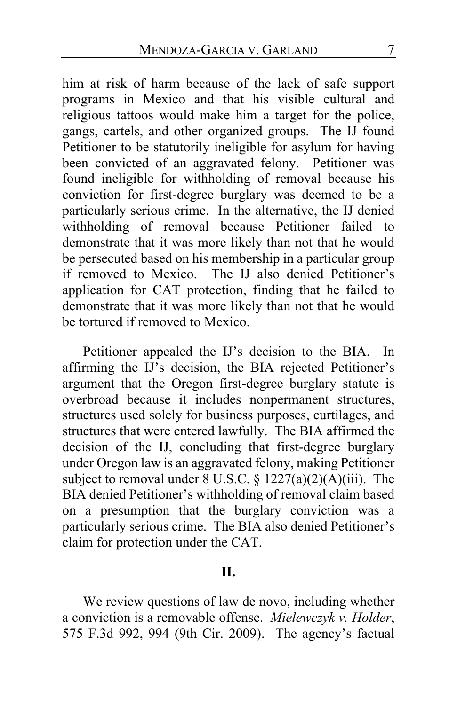him at risk of harm because of the lack of safe support programs in Mexico and that his visible cultural and religious tattoos would make him a target for the police, gangs, cartels, and other organized groups. The IJ found Petitioner to be statutorily ineligible for asylum for having been convicted of an aggravated felony. Petitioner was found ineligible for withholding of removal because his conviction for first-degree burglary was deemed to be a particularly serious crime. In the alternative, the IJ denied withholding of removal because Petitioner failed to demonstrate that it was more likely than not that he would be persecuted based on his membership in a particular group if removed to Mexico. The IJ also denied Petitioner's application for CAT protection, finding that he failed to demonstrate that it was more likely than not that he would be tortured if removed to Mexico.

Petitioner appealed the IJ's decision to the BIA. In affirming the IJ's decision, the BIA rejected Petitioner's argument that the Oregon first-degree burglary statute is overbroad because it includes nonpermanent structures, structures used solely for business purposes, curtilages, and structures that were entered lawfully. The BIA affirmed the decision of the IJ, concluding that first-degree burglary under Oregon law is an aggravated felony, making Petitioner subject to removal under  $8 \text{ U.S.C.} \$ § 1227(a)(2)(A)(iii). The BIA denied Petitioner's withholding of removal claim based on a presumption that the burglary conviction was a particularly serious crime. The BIA also denied Petitioner's claim for protection under the CAT.

#### **II.**

We review questions of law de novo, including whether a conviction is a removable offense. *Mielewczyk v. Holder*, 575 F.3d 992, 994 (9th Cir. 2009). The agency's factual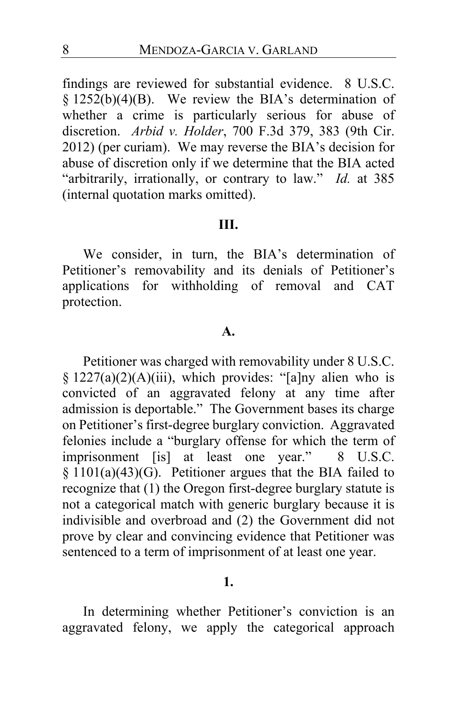findings are reviewed for substantial evidence. 8 U.S.C.  $§ 1252(b)(4)(B)$ . We review the BIA's determination of whether a crime is particularly serious for abuse of discretion. *Arbid v. Holder*, 700 F.3d 379, 383 (9th Cir. 2012) (per curiam). We may reverse the BIA's decision for abuse of discretion only if we determine that the BIA acted "arbitrarily, irrationally, or contrary to law." *Id.* at 385 (internal quotation marks omitted).

## **III.**

We consider, in turn, the BIA's determination of Petitioner's removability and its denials of Petitioner's applications for withholding of removal and CAT protection.

#### **A.**

Petitioner was charged with removability under 8 U.S.C. § 1227(a)(2)(A)(iii), which provides: "[a]ny alien who is convicted of an aggravated felony at any time after admission is deportable." The Government bases its charge on Petitioner's first-degree burglary conviction. Aggravated felonies include a "burglary offense for which the term of imprisonment [is] at least one year." 8 U.S.C. § 1101(a)(43)(G). Petitioner argues that the BIA failed to recognize that (1) the Oregon first-degree burglary statute is not a categorical match with generic burglary because it is indivisible and overbroad and (2) the Government did not prove by clear and convincing evidence that Petitioner was sentenced to a term of imprisonment of at least one year.

#### **1.**

In determining whether Petitioner's conviction is an aggravated felony, we apply the categorical approach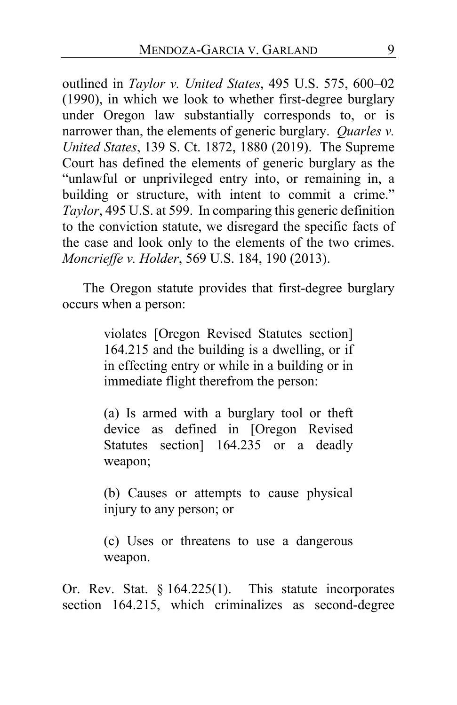outlined in *Taylor v. United States*, 495 U.S. 575, 600–02 (1990), in which we look to whether first-degree burglary under Oregon law substantially corresponds to, or is narrower than, the elements of generic burglary. *Quarles v. United States*, 139 S. Ct. 1872, 1880 (2019). The Supreme Court has defined the elements of generic burglary as the "unlawful or unprivileged entry into, or remaining in, a building or structure, with intent to commit a crime." *Taylor*, 495 U.S. at 599. In comparing this generic definition to the conviction statute, we disregard the specific facts of the case and look only to the elements of the two crimes. *Moncrieffe v. Holder*, 569 U.S. 184, 190 (2013).

The Oregon statute provides that first-degree burglary occurs when a person:

> violates [Oregon Revised Statutes section] 164.215 and the building is a dwelling, or if in effecting entry or while in a building or in immediate flight therefrom the person:

> (a) Is armed with a burglary tool or theft device as defined in [Oregon Revised Statutes section] 164.235 or a deadly weapon;

> (b) Causes or attempts to cause physical injury to any person; or

> (c) Uses or threatens to use a dangerous weapon.

Or. Rev. Stat.  $\S 164.225(1)$ . This statute incorporates section 164.215, which criminalizes as second-degree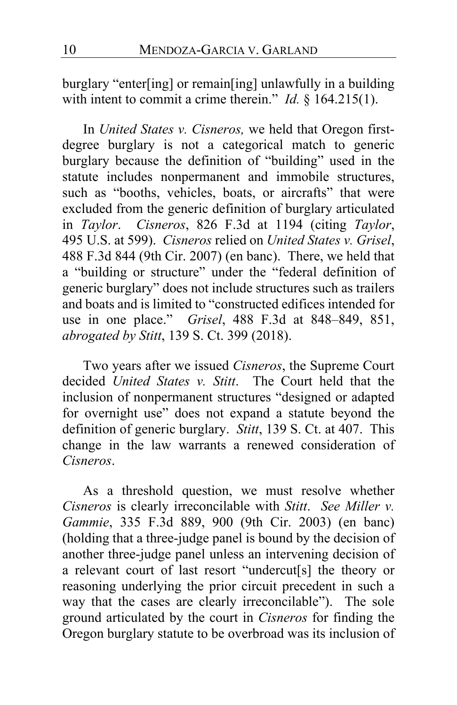burglary "enter[ing] or remain[ing] unlawfully in a building with intent to commit a crime therein." *Id.* § 164.215(1).

In *United States v. Cisneros,* we held that Oregon firstdegree burglary is not a categorical match to generic burglary because the definition of "building" used in the statute includes nonpermanent and immobile structures, such as "booths, vehicles, boats, or aircrafts" that were excluded from the generic definition of burglary articulated in *Taylor*. *Cisneros*, 826 F.3d at 1194 (citing *Taylor*, 495 U.S. at 599). *Cisneros* relied on *United States v. Grisel*, 488 F.3d 844 (9th Cir. 2007) (en banc). There, we held that a "building or structure" under the "federal definition of generic burglary" does not include structures such as trailers and boats and is limited to "constructed edifices intended for use in one place." *Grisel*, 488 F.3d at 848–849, 851, *abrogated by Stitt*, 139 S. Ct. 399 (2018).

Two years after we issued *Cisneros*, the Supreme Court decided *United States v. Stitt*. The Court held that the inclusion of nonpermanent structures "designed or adapted for overnight use" does not expand a statute beyond the definition of generic burglary. *Stitt*, 139 S. Ct. at 407. This change in the law warrants a renewed consideration of *Cisneros*.

As a threshold question, we must resolve whether *Cisneros* is clearly irreconcilable with *Stitt*. *See Miller v. Gammie*, 335 F.3d 889, 900 (9th Cir. 2003) (en banc) (holding that a three-judge panel is bound by the decision of another three-judge panel unless an intervening decision of a relevant court of last resort "undercut[s] the theory or reasoning underlying the prior circuit precedent in such a way that the cases are clearly irreconcilable"). The sole ground articulated by the court in *Cisneros* for finding the Oregon burglary statute to be overbroad was its inclusion of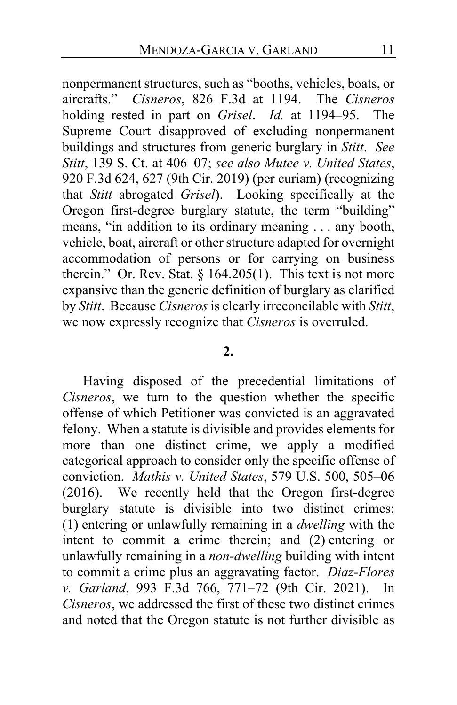nonpermanent structures, such as "booths, vehicles, boats, or aircrafts." *Cisneros*, 826 F.3d at 1194. The *Cisneros* holding rested in part on *Grisel*. *Id.* at 1194–95. The Supreme Court disapproved of excluding nonpermanent buildings and structures from generic burglary in *Stitt*. *See Stitt*, 139 S. Ct. at 406–07; *see also Mutee v. United States*, 920 F.3d 624, 627 (9th Cir. 2019) (per curiam) (recognizing that *Stitt* abrogated *Grisel*). Looking specifically at the Oregon first-degree burglary statute, the term "building" means, "in addition to its ordinary meaning . . . any booth, vehicle, boat, aircraft or other structure adapted for overnight accommodation of persons or for carrying on business therein." Or. Rev. Stat.  $\S 164.205(1)$ . This text is not more expansive than the generic definition of burglary as clarified by *Stitt*. Because *Cisneros*is clearly irreconcilable with *Stitt*, we now expressly recognize that *Cisneros* is overruled.

#### **2.**

Having disposed of the precedential limitations of *Cisneros*, we turn to the question whether the specific offense of which Petitioner was convicted is an aggravated felony. When a statute is divisible and provides elements for more than one distinct crime, we apply a modified categorical approach to consider only the specific offense of conviction. *Mathis v. United States*, 579 U.S. 500, 505–06 (2016). We recently held that the Oregon first-degree burglary statute is divisible into two distinct crimes: (1) entering or unlawfully remaining in a *dwelling* with the intent to commit a crime therein; and (2) entering or unlawfully remaining in a *non-dwelling* building with intent to commit a crime plus an aggravating factor. *Diaz-Flores v. Garland*, 993 F.3d 766, 771–72 (9th Cir. 2021). In *Cisneros*, we addressed the first of these two distinct crimes and noted that the Oregon statute is not further divisible as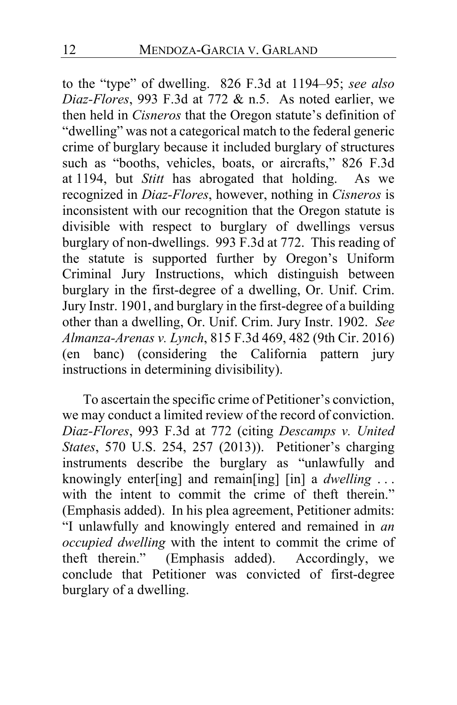to the "type" of dwelling. 826 F.3d at 1194–95; *see also Diaz-Flores*, 993 F.3d at 772 & n.5. As noted earlier, we then held in *Cisneros* that the Oregon statute's definition of "dwelling" was not a categorical match to the federal generic crime of burglary because it included burglary of structures such as "booths, vehicles, boats, or aircrafts," 826 F.3d at 1194, but *Stitt* has abrogated that holding. As we recognized in *Diaz-Flores*, however, nothing in *Cisneros* is inconsistent with our recognition that the Oregon statute is divisible with respect to burglary of dwellings versus burglary of non-dwellings. 993 F.3d at 772. This reading of the statute is supported further by Oregon's Uniform Criminal Jury Instructions, which distinguish between burglary in the first-degree of a dwelling, Or. Unif. Crim. Jury Instr. 1901, and burglary in the first-degree of a building other than a dwelling, Or. Unif. Crim. Jury Instr. 1902. *See Almanza-Arenas v. Lynch*, 815 F.3d 469, 482 (9th Cir. 2016) (en banc) (considering the California pattern jury instructions in determining divisibility).

To ascertain the specific crime of Petitioner's conviction, we may conduct a limited review of the record of conviction. *Diaz-Flores*, 993 F.3d at 772 (citing *Descamps v. United States*, 570 U.S. 254, 257 (2013)). Petitioner's charging instruments describe the burglary as "unlawfully and knowingly enter[ing] and remain[ing] [in] a *dwelling* . . . with the intent to commit the crime of theft therein." (Emphasis added). In his plea agreement, Petitioner admits: "I unlawfully and knowingly entered and remained in *an occupied dwelling* with the intent to commit the crime of theft therein." (Emphasis added). Accordingly, we conclude that Petitioner was convicted of first-degree burglary of a dwelling.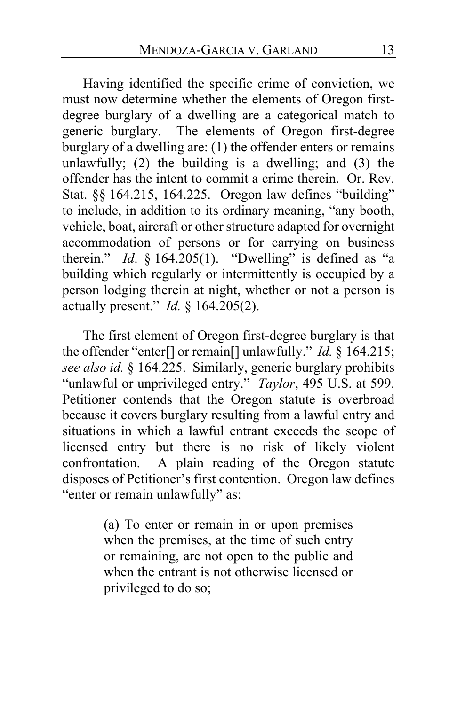Having identified the specific crime of conviction, we must now determine whether the elements of Oregon firstdegree burglary of a dwelling are a categorical match to generic burglary. The elements of Oregon first-degree burglary of a dwelling are: (1) the offender enters or remains unlawfully;  $(2)$  the building is a dwelling; and  $(3)$  the offender has the intent to commit a crime therein. Or. Rev. Stat. §§ 164.215, 164.225. Oregon law defines "building" to include, in addition to its ordinary meaning, "any booth, vehicle, boat, aircraft or other structure adapted for overnight accommodation of persons or for carrying on business therein." *Id.*  $§$  164.205(1). "Dwelling" is defined as "a building which regularly or intermittently is occupied by a person lodging therein at night, whether or not a person is actually present." *Id.* § 164.205(2).

The first element of Oregon first-degree burglary is that the offender "enter[] or remain[] unlawfully." *Id.* § 164.215; *see also id.* § 164.225. Similarly, generic burglary prohibits "unlawful or unprivileged entry." *Taylor*, 495 U.S. at 599. Petitioner contends that the Oregon statute is overbroad because it covers burglary resulting from a lawful entry and situations in which a lawful entrant exceeds the scope of licensed entry but there is no risk of likely violent confrontation. A plain reading of the Oregon statute disposes of Petitioner's first contention. Oregon law defines "enter or remain unlawfully" as:

> (a) To enter or remain in or upon premises when the premises, at the time of such entry or remaining, are not open to the public and when the entrant is not otherwise licensed or privileged to do so;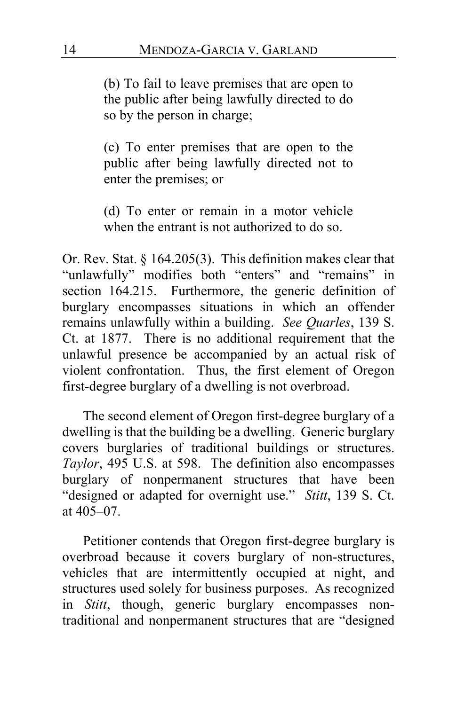(b) To fail to leave premises that are open to the public after being lawfully directed to do so by the person in charge;

(c) To enter premises that are open to the public after being lawfully directed not to enter the premises; or

(d) To enter or remain in a motor vehicle when the entrant is not authorized to do so.

Or. Rev. Stat. § 164.205(3). This definition makes clear that "unlawfully" modifies both "enters" and "remains" in section 164.215. Furthermore, the generic definition of burglary encompasses situations in which an offender remains unlawfully within a building. *See Quarles*, 139 S. Ct. at 1877. There is no additional requirement that the unlawful presence be accompanied by an actual risk of violent confrontation. Thus, the first element of Oregon first-degree burglary of a dwelling is not overbroad.

The second element of Oregon first-degree burglary of a dwelling is that the building be a dwelling. Generic burglary covers burglaries of traditional buildings or structures. *Taylor*, 495 U.S. at 598. The definition also encompasses burglary of nonpermanent structures that have been "designed or adapted for overnight use." *Stitt*, 139 S. Ct. at 405–07.

Petitioner contends that Oregon first-degree burglary is overbroad because it covers burglary of non-structures, vehicles that are intermittently occupied at night, and structures used solely for business purposes. As recognized in *Stitt*, though, generic burglary encompasses nontraditional and nonpermanent structures that are "designed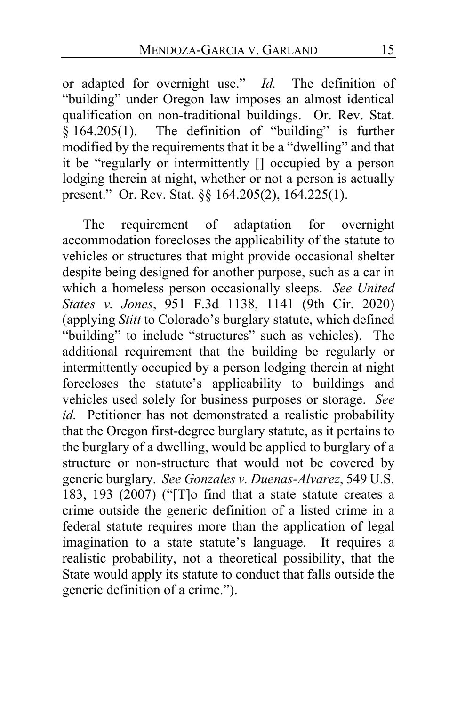or adapted for overnight use." *Id.* The definition of "building" under Oregon law imposes an almost identical qualification on non-traditional buildings. Or. Rev. Stat.  $§$  164.205(1). The definition of "building" is further modified by the requirements that it be a "dwelling" and that it be "regularly or intermittently [] occupied by a person lodging therein at night, whether or not a person is actually present." Or. Rev. Stat. §§ 164.205(2), 164.225(1).

The requirement of adaptation for overnight accommodation forecloses the applicability of the statute to vehicles or structures that might provide occasional shelter despite being designed for another purpose, such as a car in which a homeless person occasionally sleeps. *See United States v. Jones*, 951 F.3d 1138, 1141 (9th Cir. 2020) (applying *Stitt* to Colorado's burglary statute, which defined "building" to include "structures" such as vehicles). The additional requirement that the building be regularly or intermittently occupied by a person lodging therein at night forecloses the statute's applicability to buildings and vehicles used solely for business purposes or storage. *See id.* Petitioner has not demonstrated a realistic probability that the Oregon first-degree burglary statute, as it pertains to the burglary of a dwelling, would be applied to burglary of a structure or non-structure that would not be covered by generic burglary. *See Gonzales v. Duenas-Alvarez*, 549 U.S. 183, 193 (2007) ("[T]o find that a state statute creates a crime outside the generic definition of a listed crime in a federal statute requires more than the application of legal imagination to a state statute's language. It requires a realistic probability, not a theoretical possibility, that the State would apply its statute to conduct that falls outside the generic definition of a crime.").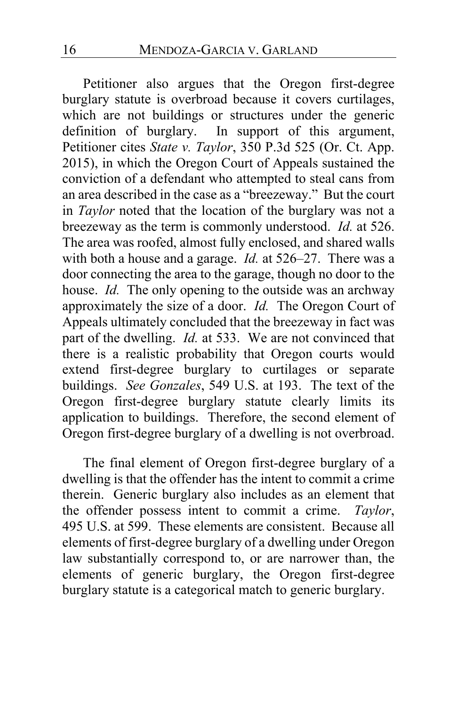Petitioner also argues that the Oregon first-degree burglary statute is overbroad because it covers curtilages, which are not buildings or structures under the generic definition of burglary. In support of this argument, Petitioner cites *State v. Taylor*, 350 P.3d 525 (Or. Ct. App. 2015), in which the Oregon Court of Appeals sustained the conviction of a defendant who attempted to steal cans from an area described in the case as a "breezeway." But the court in *Taylor* noted that the location of the burglary was not a breezeway as the term is commonly understood. *Id.* at 526. The area was roofed, almost fully enclosed, and shared walls with both a house and a garage. *Id.* at 526–27. There was a door connecting the area to the garage, though no door to the house. *Id.* The only opening to the outside was an archway approximately the size of a door. *Id.* The Oregon Court of Appeals ultimately concluded that the breezeway in fact was part of the dwelling. *Id.* at 533. We are not convinced that there is a realistic probability that Oregon courts would extend first-degree burglary to curtilages or separate buildings. *See Gonzales*, 549 U.S. at 193. The text of the Oregon first-degree burglary statute clearly limits its application to buildings. Therefore, the second element of Oregon first-degree burglary of a dwelling is not overbroad.

The final element of Oregon first-degree burglary of a dwelling is that the offender has the intent to commit a crime therein. Generic burglary also includes as an element that the offender possess intent to commit a crime. *Taylor*, 495 U.S. at 599. These elements are consistent. Because all elements of first-degree burglary of a dwelling under Oregon law substantially correspond to, or are narrower than, the elements of generic burglary, the Oregon first-degree burglary statute is a categorical match to generic burglary.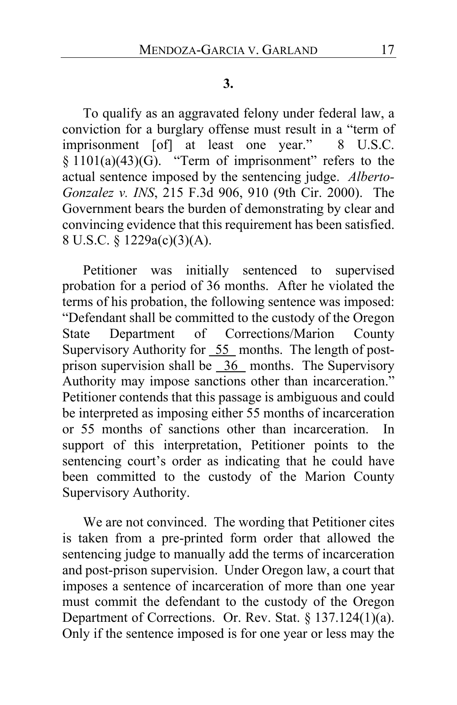#### **3.**

To qualify as an aggravated felony under federal law, a conviction for a burglary offense must result in a "term of imprisonment [of] at least one year." 8 U.S.C.  $§ 1101(a)(43)(G)$ . "Term of imprisonment" refers to the actual sentence imposed by the sentencing judge. *Alberto-Gonzalez v. INS*, 215 F.3d 906, 910 (9th Cir. 2000). The Government bears the burden of demonstrating by clear and convincing evidence that this requirement has been satisfied. 8 U.S.C. § 1229a(c)(3)(A).

Petitioner was initially sentenced to supervised probation for a period of 36 months. After he violated the terms of his probation, the following sentence was imposed: "Defendant shall be committed to the custody of the Oregon State Department of Corrections/Marion County Supervisory Authority for 55 months. The length of postprison supervision shall be 36 months. The Supervisory Authority may impose sanctions other than incarceration." Petitioner contends that this passage is ambiguous and could be interpreted as imposing either 55 months of incarceration or 55 months of sanctions other than incarceration. In support of this interpretation, Petitioner points to the sentencing court's order as indicating that he could have been committed to the custody of the Marion County Supervisory Authority.

We are not convinced. The wording that Petitioner cites is taken from a pre-printed form order that allowed the sentencing judge to manually add the terms of incarceration and post-prison supervision. Under Oregon law, a court that imposes a sentence of incarceration of more than one year must commit the defendant to the custody of the Oregon Department of Corrections. Or. Rev. Stat. § 137.124(1)(a). Only if the sentence imposed is for one year or less may the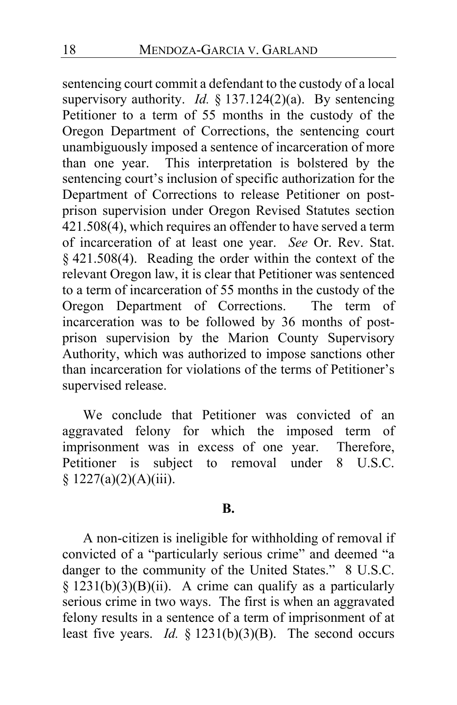sentencing court commit a defendant to the custody of a local supervisory authority. *Id.* § 137.124(2)(a). By sentencing Petitioner to a term of 55 months in the custody of the Oregon Department of Corrections, the sentencing court unambiguously imposed a sentence of incarceration of more than one year. This interpretation is bolstered by the sentencing court's inclusion of specific authorization for the Department of Corrections to release Petitioner on postprison supervision under Oregon Revised Statutes section 421.508(4), which requires an offender to have served a term of incarceration of at least one year. *See* Or. Rev. Stat. § 421.508(4). Reading the order within the context of the relevant Oregon law, it is clear that Petitioner was sentenced to a term of incarceration of 55 months in the custody of the Oregon Department of Corrections. The term of incarceration was to be followed by 36 months of postprison supervision by the Marion County Supervisory Authority, which was authorized to impose sanctions other than incarceration for violations of the terms of Petitioner's supervised release.

We conclude that Petitioner was convicted of an aggravated felony for which the imposed term of imprisonment was in excess of one year. Therefore, Petitioner is subject to removal under 8 U.S.C.  $$ 1227(a)(2)(A)(iii).$ 

## **B.**

A non-citizen is ineligible for withholding of removal if convicted of a "particularly serious crime" and deemed "a danger to the community of the United States." 8 U.S.C.  $§$  1231(b)(3)(B)(ii). A crime can qualify as a particularly serious crime in two ways. The first is when an aggravated felony results in a sentence of a term of imprisonment of at least five years. *Id.* § 1231(b)(3)(B). The second occurs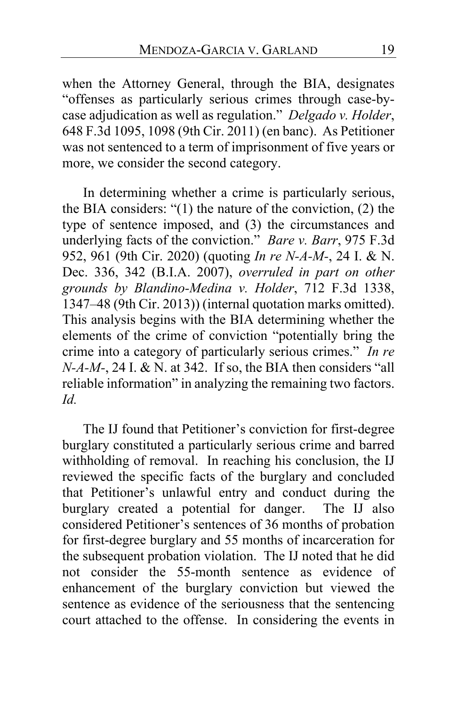when the Attorney General, through the BIA, designates "offenses as particularly serious crimes through case-bycase adjudication as well as regulation." *Delgado v. Holder*, 648 F.3d 1095, 1098 (9th Cir. 2011) (en banc). As Petitioner was not sentenced to a term of imprisonment of five years or more, we consider the second category.

In determining whether a crime is particularly serious, the BIA considers: "(1) the nature of the conviction, (2) the type of sentence imposed, and (3) the circumstances and underlying facts of the conviction." *Bare v. Barr*, 975 F.3d 952, 961 (9th Cir. 2020) (quoting *In re N-A-M-*, 24 I. & N. Dec. 336, 342 (B.I.A. 2007), *overruled in part on other grounds by Blandino-Medina v. Holder*, 712 F.3d 1338, 1347–48 (9th Cir. 2013)) (internal quotation marks omitted). This analysis begins with the BIA determining whether the elements of the crime of conviction "potentially bring the crime into a category of particularly serious crimes." *In re N-A-M-*, 24 I. & N. at 342. If so, the BIA then considers "all reliable information" in analyzing the remaining two factors. *Id.*

The IJ found that Petitioner's conviction for first-degree burglary constituted a particularly serious crime and barred withholding of removal. In reaching his conclusion, the IJ reviewed the specific facts of the burglary and concluded that Petitioner's unlawful entry and conduct during the burglary created a potential for danger. The IJ also considered Petitioner's sentences of 36 months of probation for first-degree burglary and 55 months of incarceration for the subsequent probation violation. The IJ noted that he did not consider the 55-month sentence as evidence of enhancement of the burglary conviction but viewed the sentence as evidence of the seriousness that the sentencing court attached to the offense. In considering the events in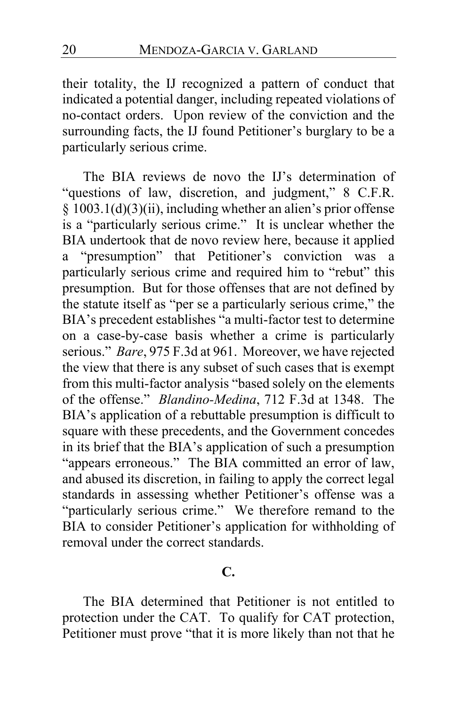their totality, the IJ recognized a pattern of conduct that indicated a potential danger, including repeated violations of no-contact orders. Upon review of the conviction and the surrounding facts, the IJ found Petitioner's burglary to be a particularly serious crime.

The BIA reviews de novo the IJ's determination of "questions of law, discretion, and judgment," 8 C.F.R. § 1003.1(d)(3)(ii), including whether an alien's prior offense is a "particularly serious crime." It is unclear whether the BIA undertook that de novo review here, because it applied a "presumption" that Petitioner's conviction was a particularly serious crime and required him to "rebut" this presumption. But for those offenses that are not defined by the statute itself as "per se a particularly serious crime," the BIA's precedent establishes "a multi-factor test to determine on a case-by-case basis whether a crime is particularly serious." *Bare*, 975 F.3d at 961. Moreover, we have rejected the view that there is any subset of such cases that is exempt from this multi-factor analysis "based solely on the elements of the offense." *Blandino-Medina*, 712 F.3d at 1348. The BIA's application of a rebuttable presumption is difficult to square with these precedents, and the Government concedes in its brief that the BIA's application of such a presumption "appears erroneous." The BIA committed an error of law, and abused its discretion, in failing to apply the correct legal standards in assessing whether Petitioner's offense was a "particularly serious crime." We therefore remand to the BIA to consider Petitioner's application for withholding of removal under the correct standards.

## **C.**

The BIA determined that Petitioner is not entitled to protection under the CAT. To qualify for CAT protection, Petitioner must prove "that it is more likely than not that he